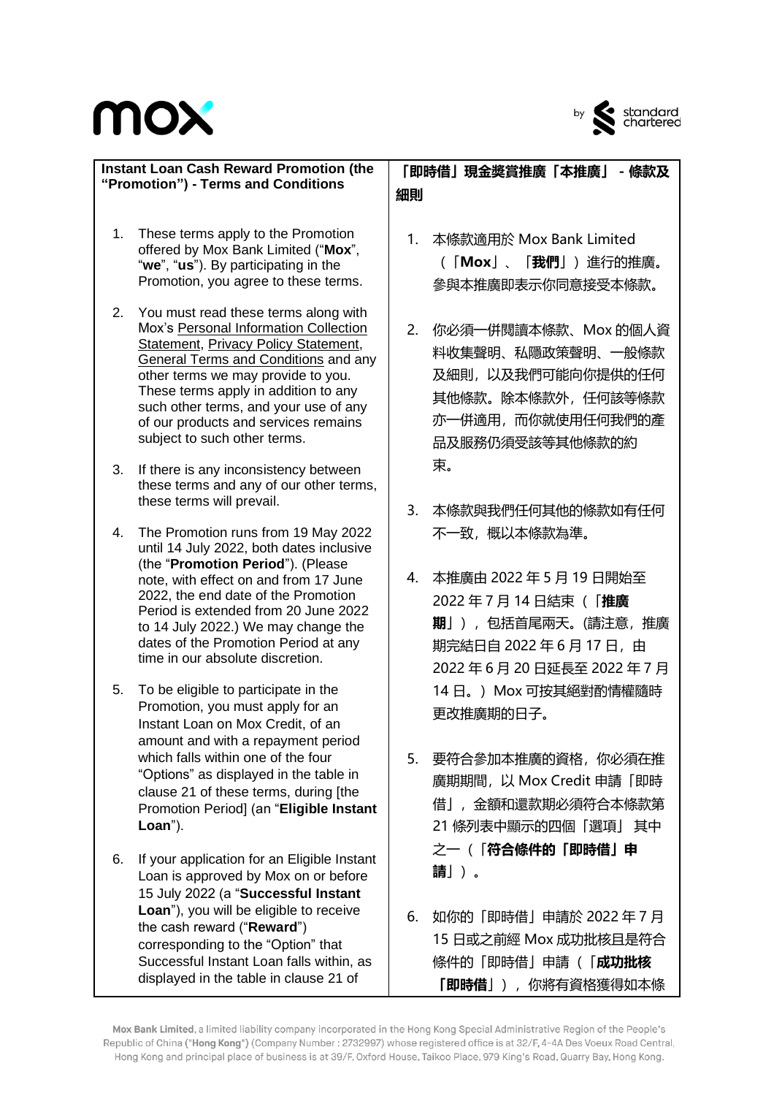

| <b>Instant Loan Cash Reward Promotion (the</b><br>"Promotion") - Terms and Conditions |                                                                                                                                                                                                                                                                                                                                                                            |          | 「即時借」現金獎賞推廣「本推廣」<br>- 條款及<br>細則                                                                                             |  |  |  |  |
|---------------------------------------------------------------------------------------|----------------------------------------------------------------------------------------------------------------------------------------------------------------------------------------------------------------------------------------------------------------------------------------------------------------------------------------------------------------------------|----------|-----------------------------------------------------------------------------------------------------------------------------|--|--|--|--|
| 1.                                                                                    | These terms apply to the Promotion<br>offered by Mox Bank Limited ("Mox",<br>"we", "us"). By participating in the<br>Promotion, you agree to these terms.                                                                                                                                                                                                                  | 1.       | 本條款適用於 Mox Bank Limited<br>(「Mox」、「 <b>我們</b> 」)進行的推廣。<br>參與本推廣即表示你同意接受本條款。                                                 |  |  |  |  |
| 2.                                                                                    | You must read these terms along with<br>Mox's Personal Information Collection<br><b>Statement, Privacy Policy Statement,</b><br><b>General Terms and Conditions and any</b><br>other terms we may provide to you.<br>These terms apply in addition to any<br>such other terms, and your use of any<br>of our products and services remains<br>subject to such other terms. | 2.       | 你必須一併閱讀本條款、Mox 的個人資<br>料收集聲明、私隱政策聲明、一般條款<br>及細則,以及我們可能向你提供的任何<br>其他條款。除本條款外,任何該等條款<br>亦一併適用, 而你就使用任何我們的產<br>品及服務仍須受該等其他條款的約 |  |  |  |  |
| 3.                                                                                    | If there is any inconsistency between<br>these terms and any of our other terms,<br>these terms will prevail.                                                                                                                                                                                                                                                              |          | 束。                                                                                                                          |  |  |  |  |
| 4.                                                                                    | The Promotion runs from 19 May 2022<br>until 14 July 2022, both dates inclusive<br>(the "Promotion Period"). (Please<br>note, with effect on and from 17 June                                                                                                                                                                                                              | 3.<br>4. | 本條款與我們任何其他的條款如有任何<br>不一致,概以本條款為準。<br>本推廣由 2022 年 5 月 19 日開始至                                                                |  |  |  |  |
|                                                                                       | 2022, the end date of the Promotion<br>Period is extended from 20 June 2022<br>to 14 July 2022.) We may change the<br>dates of the Promotion Period at any<br>time in our absolute discretion.                                                                                                                                                                             |          | 2022年7月14日結束(「推廣<br>期」),包括首尾兩天。(請注意, 推廣<br>期完結日自 2022年6月17日,由<br>2022年6月20日延長至2022年7月                                       |  |  |  |  |
| 5.                                                                                    | To be eligible to participate in the<br>Promotion, you must apply for an<br>Instant Loan on Mox Credit, of an                                                                                                                                                                                                                                                              |          | 14日。) Mox 可按其絕對酌情權隨時<br>更改推廣期的日子。                                                                                           |  |  |  |  |
|                                                                                       | amount and with a repayment period<br>which falls within one of the four<br>"Options" as displayed in the table in<br>clause 21 of these terms, during [the<br>Promotion Period] (an "Eligible Instant<br>Loan").                                                                                                                                                          | 5.       | 要符合參加本推廣的資格,你必須在推<br>廣期期間, 以 Mox Credit 申請「即時<br>借」,金額和還款期必須符合本條款第<br>21 條列表中顯示的四個「選項」 其中                                   |  |  |  |  |
| 6.                                                                                    | If your application for an Eligible Instant<br>Loan is approved by Mox on or before<br>15 July 2022 (a "Successful Instant                                                                                                                                                                                                                                                 |          | 之一(「符合條件的「即時借」申<br>請」)。                                                                                                     |  |  |  |  |
|                                                                                       | Loan"), you will be eligible to receive<br>the cash reward ("Reward")<br>corresponding to the "Option" that<br>Successful Instant Loan falls within, as<br>displayed in the table in clause 21 of                                                                                                                                                                          | 6.       | 如你的「即時借」申請於 2022 年 7 月<br>15 日或之前經 Mox 成功批核且是符合<br>條件的「即時借」申請(「 <b>成功批核</b><br><b>「即時借</b> 」),你將有資格獲得如本條                    |  |  |  |  |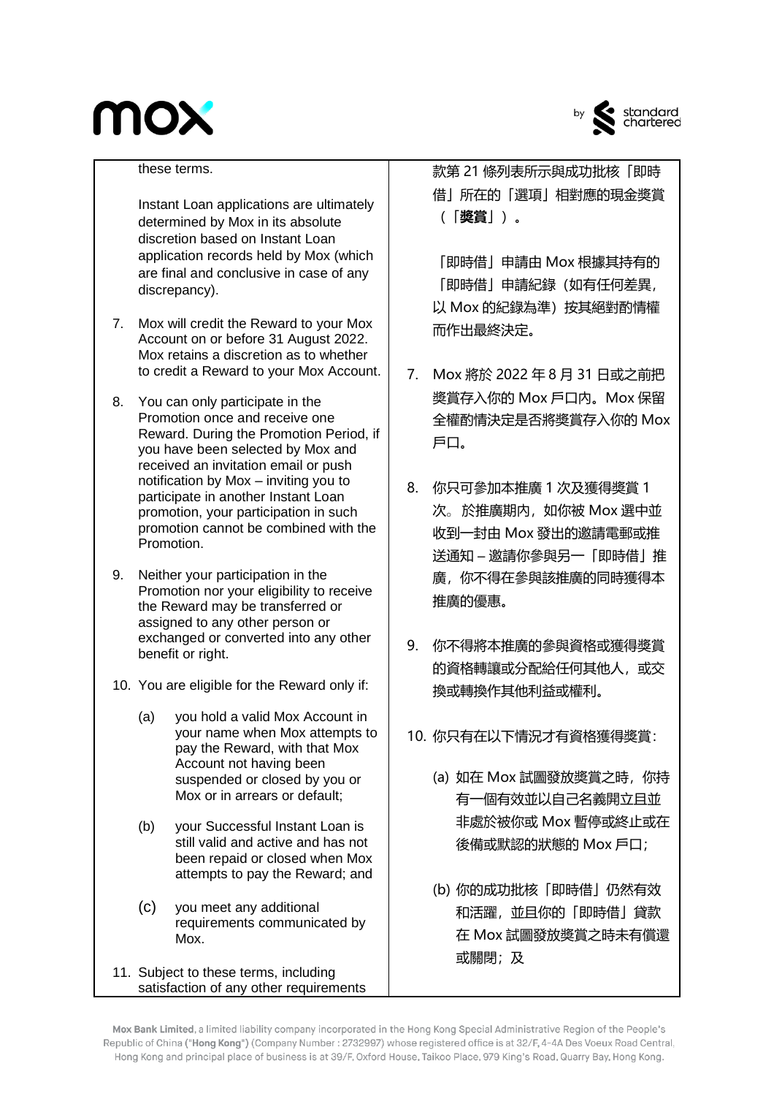

by standard<br>chartered

#### these terms.

Instant Loan applications are ultimately determined by Mox in its absolute discretion based on Instant Loan application records held by Mox (which are final and conclusive in case of any discrepancy).

- 7. Mox will credit the Reward to your Mox Account on or before 31 August 2022. Mox retains a discretion as to whether to credit a Reward to your Mox Account.
- 8. You can only participate in the Promotion once and receive one Reward. During the Promotion Period, if you have been selected by Mox and received an invitation email or push notification by Mox – inviting you to participate in another Instant Loan promotion, your participation in such promotion cannot be combined with the Promotion.
- 9. Neither your participation in the Promotion nor your eligibility to receive the Reward may be transferred or assigned to any other person or exchanged or converted into any other benefit or right.
- 10. You are eligible for the Reward only if:
	- (a) you hold a valid Mox Account in your name when Mox attempts to pay the Reward, with that Mox Account not having been suspended or closed by you or Mox or in arrears or default;
	- (b) your Successful Instant Loan is still valid and active and has not been repaid or closed when Mox attempts to pay the Reward; and
	- (c) you meet any additional requirements communicated by Mox.
- 11. Subject to these terms, including satisfaction of any other requirements

款第 21 條列表所示與成功批核「即時 借」所在的「選項」相對應的現金奬賞 (「**奬賞**」)。

「即時借」申請由 Mox 根據其持有的 「即時借」申請紀錄(如有任何差異, 以 Mox 的紀錄為準)按其絕對酌情權 而作出最終決定。

- 7. Mox 將於 2022 年 8 月 31 日或之前把 奬賞存入你的 Mox 戶口內。Mox 保留 全權酌情決定是否將奬賞存入你的 Mox 戶口。
- 8. 你只可參加本推廣 1 次及獲得奬賞 1 次。於推廣期内,如你被 Mox 選中並 收到一封由 Mox 發出的邀請電郵或推 送通知 – 邀請你參與另一「即時借」推 廣,你不得在參與該推廣的同時獲得本 推廣的優惠。
- 9. 你不得將本推廣的參與資格或獲得獎賞 的資格轉讓或分配給任何其他人,或交 換或轉換作其他利益或權利。
- 10. 你只有在以下情況才有資格獲得獎賞:
	- (a) 如在 Mox 試圖發放奬賞之時,你持 有一個有效並以自己名義開立且並 非處於被你或 Mox 暫停或終止或在 後備或默認的狀態的 Mox 戶口;
	- (b) 你的成功批核「即時借」仍然有效 和活躍,並且你的「即時借」貸款 在 Mox 試圖發放奬賞之時未有償還 或關閉;及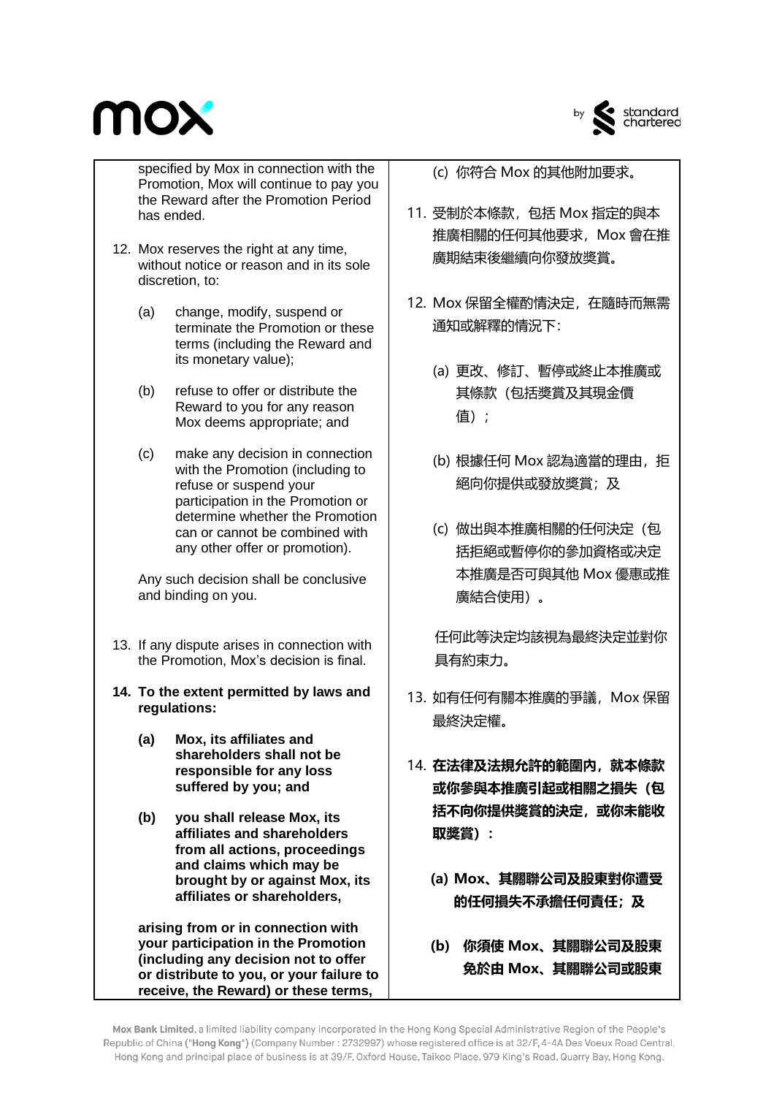

specified by Mox in connection with the Promotion, Mox will continue to pay you the Reward after the Promotion Period has ended.

- 12. Mox reserves the right at any time, without notice or reason and in its sole discretion, to:
	- (a) change, modify, suspend or terminate the Promotion or these terms (including the Reward and its monetary value);
	- (b) refuse to offer or distribute the Reward to you for any reason Mox deems appropriate; and
	- (c) make any decision in connection with the Promotion (including to refuse or suspend your participation in the Promotion or determine whether the Promotion can or cannot be combined with any other offer or promotion).

Any such decision shall be conclusive and binding on you.

- 13. If any dispute arises in connection with the Promotion, Mox's decision is final.
- **14. To the extent permitted by laws and regulations:**
	- **(a) Mox, its affiliates and shareholders shall not be responsible for any loss suffered by you; and**
	- **(b) you shall release Mox, its affiliates and shareholders from all actions, proceedings and claims which may be brought by or against Mox, its affiliates or shareholders,**

**arising from or in connection with your participation in the Promotion (including any decision not to offer or distribute to you, or your failure to receive, the Reward) or these terms,** 

(c) 你符合 Mox 的其他附加要求。

- 11. 受制於本條款,包括 Mox 指定的與本 推廣相關的任何其他要求,Mox 會在推 廣期結束後繼續向你發放奬賞。
- 12. Mox 保留全權酌情決定,在隨時而無需 通知或解釋的情況下:
	- (a) 更改、修訂、暫停或終止本推廣或 其條款(包括奬賞及其現金價 值);
	- (b) 根據任何 Mox 認為適當的理由, 拒 絕向你提供或發放奬賞;及
	- (c) 做出與本推廣相關的任何決定(包 括拒絕或暫停你的參加資格或决定 本推廣是否可與其他 Mox 優惠或推 廣結合使用)。

任何此等決定均該視為最終決定並對你 具有約束力。

- 13. 如有任何有關本推廣的爭議, Mox 保留 最終決定權。
- 14. **在法律及法規允許的範圍內,就本條款 或你參與本推廣引起或相關之損失(包 括不向你提供獎賞的決定,或你未能收 取獎賞):**
	- **(a) Mox、其關聯公司及股東對你遭受 的任何損失不承擔任何責任;及**
	- **(b) 你須使 Mox、其關聯公司及股東 免於由 Mox、其關聯公司或股東**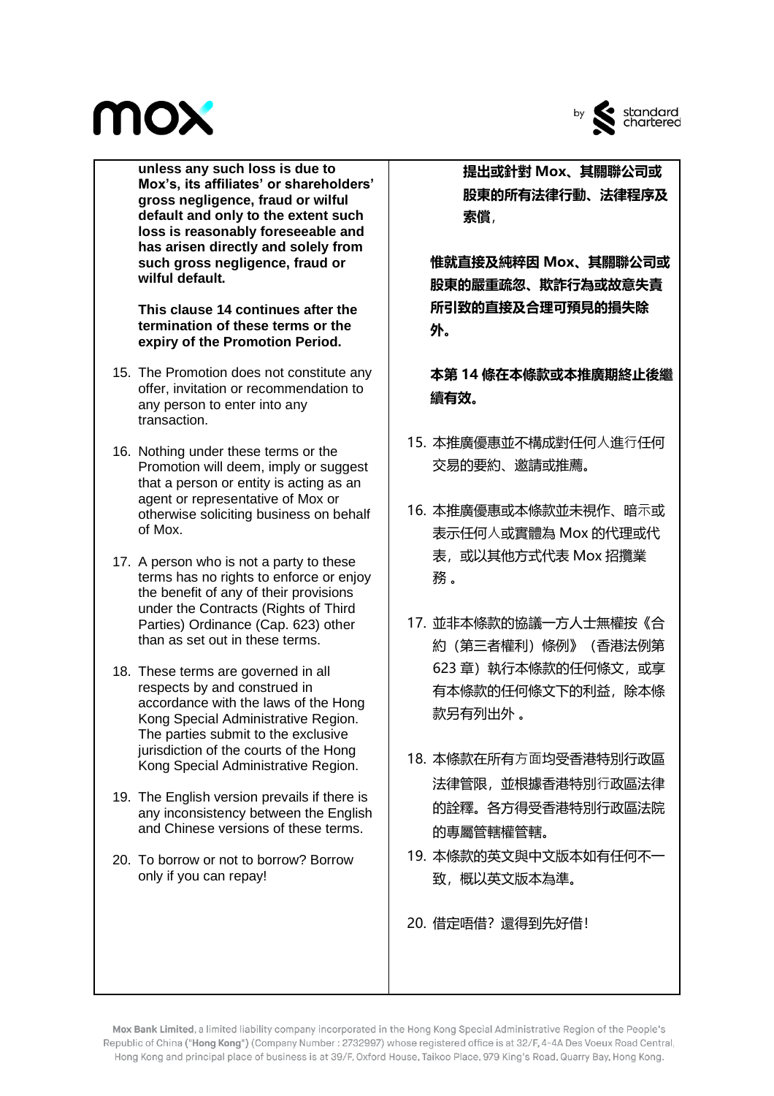

by standard<br>chartered

**unless any such loss is due to Mox's, its affiliates' or shareholders' gross negligence, fraud or wilful default and only to the extent such loss is reasonably foreseeable and has arisen directly and solely from such gross negligence, fraud or wilful default.** 

**This clause 14 continues after the termination of these terms or the expiry of the Promotion Period.**

- 15. The Promotion does not constitute any offer, invitation or recommendation to any person to enter into any transaction.
- 16. Nothing under these terms or the Promotion will deem, imply or suggest that a person or entity is acting as an agent or representative of Mox or otherwise soliciting business on behalf of Mox.
- 17. A person who is not a party to these terms has no rights to enforce or enjoy the benefit of any of their provisions under the Contracts (Rights of Third Parties) Ordinance (Cap. 623) other than as set out in these terms.
- 18. These terms are governed in all respects by and construed in accordance with the laws of the Hong Kong Special Administrative Region. The parties submit to the exclusive jurisdiction of the courts of the Hong Kong Special Administrative Region.
- 19. The English version prevails if there is any inconsistency between the English and Chinese versions of these terms.
- 20. To borrow or not to borrow? Borrow only if you can repay!

**提出或針對 Mox、其關聯公司或 股東的所有法律行動、法律程序及 索償**,

**惟就直接及純粹因 Mox、其關聯公司或 股東的嚴重疏忽、欺詐行為或故意失責 所引致的直接及合理可預見的損失除 外。**

**本第 14 條在本條款或本推廣期終止後繼 續有效。**

- 15. 本推廣優惠並不構成對任何人進行任何 交易的要約、邀請或推薦。
- 16. 本推廣優惠或本條款並未視作、暗示或 表示任何人或實體為 Mox 的代理或代 表,或以其他方式代表 Mox 招攬業 務 。
- 17. 並非本條款的協議一方人士無權按《合 約(第三者權利)條例》(香港法例第 623 章)執行本條款的任何條文, 或享 有本條款的任何條文下的利益,除本條 款另有列出外 。
- 18. 本條款在所有方面均受香港特別行政區 法律管限,並根據香港特別行政區法律 的詮釋。各方得受香港特別行政區法院 的專屬管轄權管轄。
- 19. 本條款的英文與中文版本如有任何不一 致,概以英文版本為準。

20. 借定唔借? 還得到先好借!